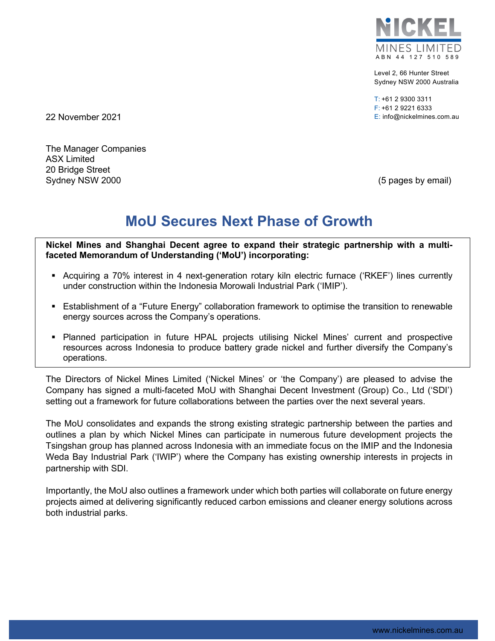

Level 2, 66 Hunter Street Sydney NSW 2000 Australia

T: +61 2 9300 3311 F: +61 2 9221 6333 22 November 2021 E: info@nickelmines.com.au

The Manager Companies ASX Limited 20 Bridge Street Sydney NSW 2000 **(5 pages by email)** 

# **MoU Secures Next Phase of Growth**

**Nickel Mines and Shanghai Decent agree to expand their strategic partnership with a multifaceted Memorandum of Understanding ('MoU') incorporating:**

- Acquiring a 70% interest in 4 next-generation rotary kiln electric furnace ('RKEF') lines currently under construction within the Indonesia Morowali Industrial Park ('IMIP').
- Establishment of a "Future Energy" collaboration framework to optimise the transition to renewable energy sources across the Company's operations.
- Planned participation in future HPAL projects utilising Nickel Mines' current and prospective resources across Indonesia to produce battery grade nickel and further diversify the Company's operations.

The Directors of Nickel Mines Limited ('Nickel Mines' or 'the Company') are pleased to advise the Company has signed a multi-faceted MoU with Shanghai Decent Investment (Group) Co., Ltd ('SDI') setting out a framework for future collaborations between the parties over the next several years.

The MoU consolidates and expands the strong existing strategic partnership between the parties and outlines a plan by which Nickel Mines can participate in numerous future development projects the Tsingshan group has planned across Indonesia with an immediate focus on the IMIP and the Indonesia Weda Bay Industrial Park ('IWIP') where the Company has existing ownership interests in projects in partnership with SDI.

Importantly, the MoU also outlines a framework under which both parties will collaborate on future energy projects aimed at delivering significantly reduced carbon emissions and cleaner energy solutions across both industrial parks.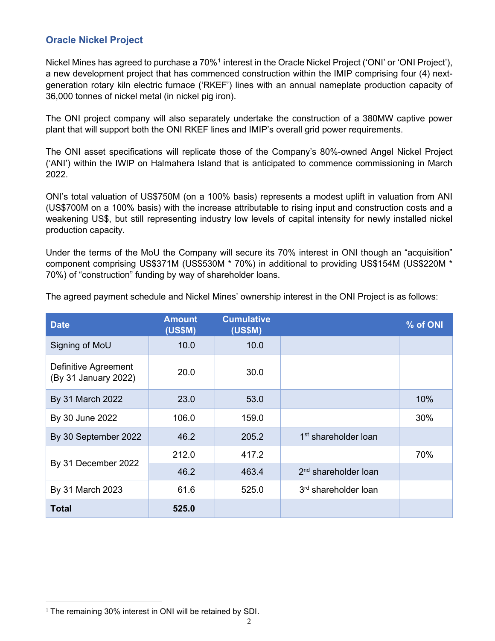#### **Oracle Nickel Project**

Nickel Mines has agreed to purchase a 70%<sup>[1](#page-1-0)</sup> interest in the Oracle Nickel Project ('ONI' or 'ONI Project'), a new development project that has commenced construction within the IMIP comprising four (4) nextgeneration rotary kiln electric furnace ('RKEF') lines with an annual nameplate production capacity of 36,000 tonnes of nickel metal (in nickel pig iron).

The ONI project company will also separately undertake the construction of a 380MW captive power plant that will support both the ONI RKEF lines and IMIP's overall grid power requirements.

The ONI asset specifications will replicate those of the Company's 80%-owned Angel Nickel Project ('ANI') within the IWIP on Halmahera Island that is anticipated to commence commissioning in March 2022.

ONI's total valuation of US\$750M (on a 100% basis) represents a modest uplift in valuation from ANI (US\$700M on a 100% basis) with the increase attributable to rising input and construction costs and a weakening US\$, but still representing industry low levels of capital intensity for newly installed nickel production capacity.

Under the terms of the MoU the Company will secure its 70% interest in ONI though an "acquisition" component comprising US\$371M (US\$530M \* 70%) in additional to providing US\$154M (US\$220M \* 70%) of "construction" funding by way of shareholder loans.

| <b>Date</b>                                  | <b>Amount</b><br><b>(US\$M)</b> | <b>Cumulative</b><br><b>(US\$M)</b> |                                  | % of ONI |
|----------------------------------------------|---------------------------------|-------------------------------------|----------------------------------|----------|
| Signing of MoU                               | 10.0                            | 10.0                                |                                  |          |
| Definitive Agreement<br>(By 31 January 2022) | 20.0                            | 30.0                                |                                  |          |
| By 31 March 2022                             | 23.0                            | 53.0                                |                                  | 10%      |
| By 30 June 2022                              | 106.0                           | 159.0                               |                                  | 30%      |
| By 30 September 2022                         | 46.2                            | 205.2                               | 1 <sup>st</sup> shareholder loan |          |
| By 31 December 2022                          | 212.0                           | 417.2                               |                                  | 70%      |
|                                              | 46.2                            | 463.4                               | 2 <sup>nd</sup> shareholder loan |          |
| By 31 March 2023                             | 61.6                            | 525.0                               | 3rd shareholder loan             |          |
| <b>Total</b>                                 | 525.0                           |                                     |                                  |          |

The agreed payment schedule and Nickel Mines' ownership interest in the ONI Project is as follows:

<span id="page-1-0"></span> $1$  The remaining 30% interest in ONI will be retained by SDI.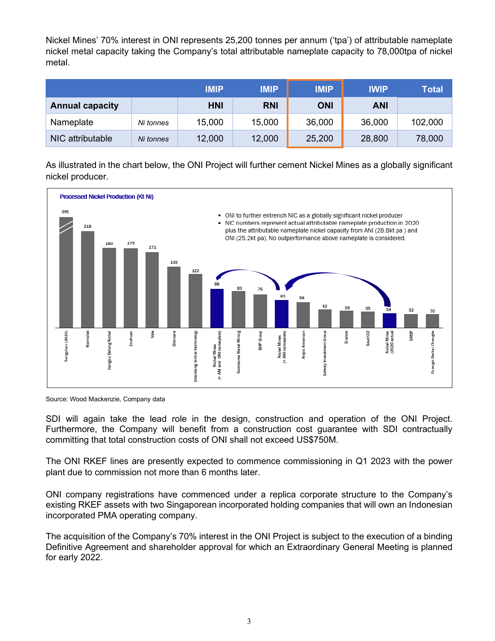Nickel Mines' 70% interest in ONI represents 25,200 tonnes per annum ('tpa') of attributable nameplate nickel metal capacity taking the Company's total attributable nameplate capacity to 78,000tpa of nickel metal.

|                        |           | <b>IMIP</b> | <b>IMIP</b> | <b>IMIP</b> | <b>IWIP</b> | Total   |
|------------------------|-----------|-------------|-------------|-------------|-------------|---------|
| <b>Annual capacity</b> |           | <b>HNI</b>  | <b>RNI</b>  | <b>ONI</b>  | ANI         |         |
| Nameplate              | Ni tonnes | 15,000      | 15,000      | 36,000      | 36,000      | 102,000 |
| NIC attributable       | Ni tonnes | 12,000      | 12,000      | 25,200      | 28,800      | 78,000  |

As illustrated in the chart below, the ONI Project will further cement Nickel Mines as a globally significant nickel producer.



Source: Wood Mackenzie, Company data

SDI will again take the lead role in the design, construction and operation of the ONI Project. Furthermore, the Company will benefit from a construction cost guarantee with SDI contractually committing that total construction costs of ONI shall not exceed US\$750M.

The ONI RKEF lines are presently expected to commence commissioning in Q1 2023 with the power plant due to commission not more than 6 months later.

ONI company registrations have commenced under a replica corporate structure to the Company's existing RKEF assets with two Singaporean incorporated holding companies that will own an Indonesian incorporated PMA operating company.

The acquisition of the Company's 70% interest in the ONI Project is subject to the execution of a binding Definitive Agreement and shareholder approval for which an Extraordinary General Meeting is planned for early 2022.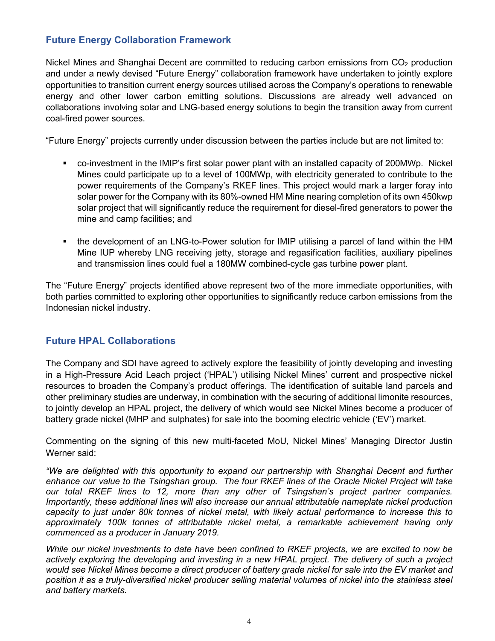### **Future Energy Collaboration Framework**

Nickel Mines and Shanghai Decent are committed to reducing carbon emissions from  $CO<sub>2</sub>$  production and under a newly devised "Future Energy" collaboration framework have undertaken to jointly explore opportunities to transition current energy sources utilised across the Company's operations to renewable energy and other lower carbon emitting solutions. Discussions are already well advanced on collaborations involving solar and LNG-based energy solutions to begin the transition away from current coal-fired power sources.

"Future Energy" projects currently under discussion between the parties include but are not limited to:

- co-investment in the IMIP's first solar power plant with an installed capacity of 200MWp. Nickel Mines could participate up to a level of 100MWp, with electricity generated to contribute to the power requirements of the Company's RKEF lines. This project would mark a larger foray into solar power for the Company with its 80%-owned HM Mine nearing completion of its own 450kwp solar project that will significantly reduce the requirement for diesel-fired generators to power the mine and camp facilities; and
- the development of an LNG-to-Power solution for IMIP utilising a parcel of land within the HM Mine IUP whereby LNG receiving jetty, storage and regasification facilities, auxiliary pipelines and transmission lines could fuel a 180MW combined-cycle gas turbine power plant.

The "Future Energy" projects identified above represent two of the more immediate opportunities, with both parties committed to exploring other opportunities to significantly reduce carbon emissions from the Indonesian nickel industry.

## **Future HPAL Collaborations**

The Company and SDI have agreed to actively explore the feasibility of jointly developing and investing in a High-Pressure Acid Leach project ('HPAL') utilising Nickel Mines' current and prospective nickel resources to broaden the Company's product offerings. The identification of suitable land parcels and other preliminary studies are underway, in combination with the securing of additional limonite resources, to jointly develop an HPAL project, the delivery of which would see Nickel Mines become a producer of battery grade nickel (MHP and sulphates) for sale into the booming electric vehicle ('EV') market.

Commenting on the signing of this new multi-faceted MoU, Nickel Mines' Managing Director Justin Werner said:

*"We are delighted with this opportunity to expand our partnership with Shanghai Decent and further enhance our value to the Tsingshan group. The four RKEF lines of the Oracle Nickel Project will take our total RKEF lines to 12, more than any other of Tsingshan's project partner companies. Importantly, these additional lines will also increase our annual attributable nameplate nickel production capacity to just under 80k tonnes of nickel metal, with likely actual performance to increase this to approximately 100k tonnes of attributable nickel metal, a remarkable achievement having only commenced as a producer in January 2019.*

*While our nickel investments to date have been confined to RKEF projects, we are excited to now be actively exploring the developing and investing in a new HPAL project. The delivery of such a project would see Nickel Mines become a direct producer of battery grade nickel for sale into the EV market and position it as a truly-diversified nickel producer selling material volumes of nickel into the stainless steel and battery markets.*